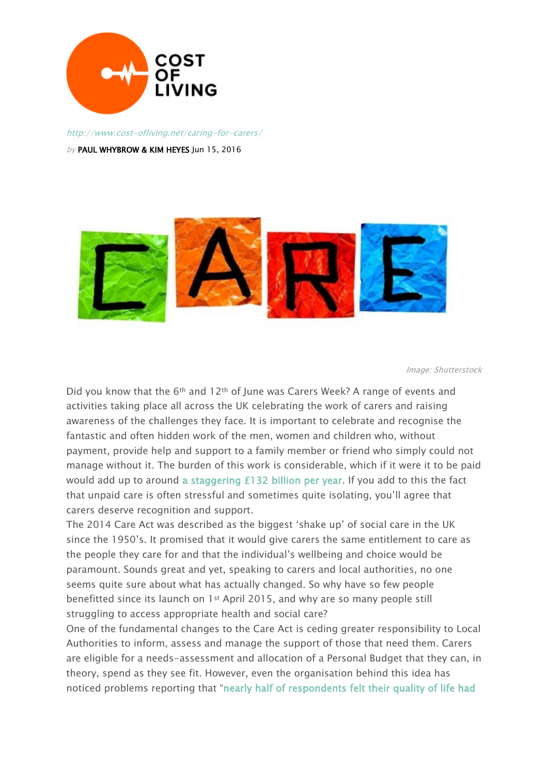

http://www.cost-ofliving.net/caring-for-carers/

by PAUL WHYBROW & KIM HEYES Jun 15, 2016



Image: Shutterstock

Did you know that the 6<sup>th</sup> and 12<sup>th</sup> of June was Carers Week? A range of events and activities taking place all across the UK celebrating the work of carers and raising awareness of the challenges they face. It is important to celebrate and recognise the fantastic and often hidden work of the men, women and children who, without payment, provide help and support to a family member or friend who simply could not manage without it. The burden of this work is considerable, which if it were it to be paid would add up to around [a staggering £132 billion per year.](https://www.carersuk.org/for-professionals/policy/policy-library/state-of-caring-2016) If you add to this the fact that unpaid care is often stressful and sometimes quite isolating, you'll agree that carers deserve recognition and support.

The 2014 Care Act was described as the biggest 'shake up' of social care in the UK since the 1950's. It promised that it would give carers the same entitlement to care as the people they care for and that the individual's wellbeing and choice would be paramount. Sounds great and yet, speaking to carers and local authorities, no one seems quite sure about what has actually changed. So why have so few people benefitted since its launch on 1st April 2015, and why are so many people still struggling to access appropriate health and social care?

One of the fundamental changes to the Care Act is ceding greater responsibility to Local Authorities to inform, assess and manage the support of those that need them. Carers are eligible for a needs-assessment and allocation of a Personal Budget that they can, in theory, spend as they see fit. However, even the organisation behind this idea has noticed problems reporting that "[nearly half of respondents felt their quality of life had](http://in-control.org.uk/)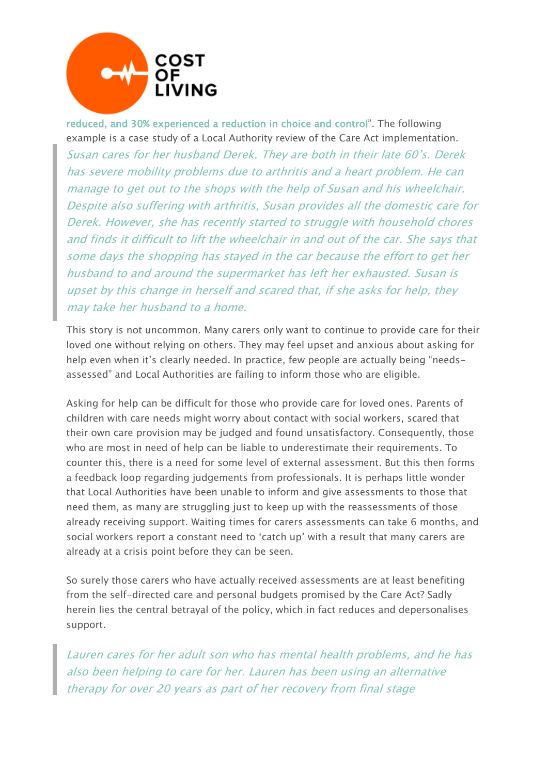

[reduced, and 30% experienced a reduction in choice and control](http://in-control.org.uk/)". The following example is a case study of a Local Authority review of the Care Act implementation. Susan cares for her husband Derek. They are both in their late 60's. Derek has severe mobility problems due to arthritis and <sup>a</sup> heart problem. He can manage to get out to the shops with the help of Susan and his wheelchair. Despite also suffering with arthritis, Susan provides all the domestic care for Derek. However, she has recently started to struggle with household chores and finds it difficult to lift the wheelchair in and out of the car. She says that some days the shopping has stayed in the car because the effort to get her husband to and around the supermarket has left her exhausted. Susan is upset by this change in herself and scared that, if she asks for help, they may take her husband to <sup>a</sup> home.

This story is not uncommon. Many carers only want to continue to provide care for their loved one without relying on others. They may feel upset and anxious about asking for help even when it's clearly needed. In practice, few people are actually being "needsassessed" and Local Authorities are failing to inform those who are eligible.

Asking for help can be difficult for those who provide care for loved ones. Parents of children with care needs might worry about contact with social workers, scared that their own care provision may be judged and found unsatisfactory. Consequently, those who are most in need of help can be liable to underestimate their requirements. To counter this, there is a need for some level of external assessment. But this then forms a feedback loop regarding judgements from professionals. It is perhaps little wonder that Local Authorities have been unable to inform and give assessments to those that need them, as many are struggling just to keep up with the reassessments of those already receiving support. Waiting times for carers assessments can take 6 months, and social workers report a constant need to 'catch up' with a result that many carers are already at a crisis point before they can be seen.

So surely those carers who have actually received assessments are at least benefiting from the self-directed care and personal budgets promised by the Care Act? Sadly herein lies the central betrayal of the policy, which in fact reduces and depersonalises support.

Lauren cares for her adult son who has mental health problems, and he has also been helping to care for her. Lauren has been using an alternative therapy for over 20 years as part of her recovery from final stage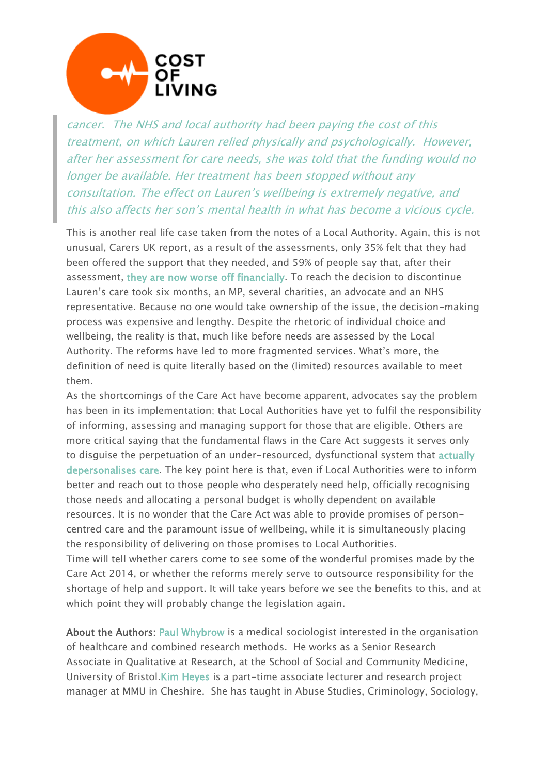

cancer. The NHS and local authority had been paying the cost of this treatment, on which Lauren relied physically and psychologically. However, after her assessment for care needs, she was told that the funding would no longer be available. Her treatment has been stopped without any consultation. The effect on Lauren's wellbeing is extremely negative, and this also affects her son's mental health in what has become <sup>a</sup> vicious cycle.

This is another real life case taken from the notes of a Local Authority. Again, this is not unusual, Carers UK report, as a result of the assessments, only 35% felt that they had been offered the support that they needed, and 59% of people say that, after their assessment, [they are now worse off financially.](https://www.carersuk.org/for-professionals/policy/policy-library/state-of-caring-2016) To reach the decision to discontinue Lauren's care took six months, an MP, several charities, an advocate and an NHS representative. Because no one would take ownership of the issue, the decision-making process was expensive and lengthy. Despite the rhetoric of individual choice and wellbeing, the reality is that, much like before needs are assessed by the Local Authority. The reforms have led to more fragmented services. What's more, the definition of need is quite literally based on the (limited) resources available to meet them.

As the shortcomings of the Care Act have become apparent, advocates say the problem has been in its implementation; that Local Authorities have yet to fulfil the responsibility of informing, assessing and managing support for those that are eligible. Others are more critical saying that the fundamental flaws in the Care Act suggests it serves only to disguise the perpetuation of an under-resourced, dysfunctional system that [actually](http://ssrg.org.uk/wp-content/uploads/2012/01/Slasberg-et-al3.pdf)  [depersonalises care.](http://ssrg.org.uk/wp-content/uploads/2012/01/Slasberg-et-al3.pdf) The key point here is that, even if Local Authorities were to inform better and reach out to those people who desperately need help, officially recognising those needs and allocating a personal budget is wholly dependent on available resources. It is no wonder that the Care Act was able to provide promises of personcentred care and the paramount issue of wellbeing, while it is simultaneously placing the responsibility of delivering on those promises to Local Authorities.

Time will tell whether carers come to see some of the wonderful promises made by the Care Act 2014, or whether the reforms merely serve to outsource responsibility for the shortage of help and support. It will take years before we see the benefits to this, and at which point they will probably change the legislation again.

About the Authors: [Paul Whybrow](http://www.bristol.ac.uk/social-community-medicine/people/paul-m-whybrow/index.html) is a medical sociologist interested in the organisation of healthcare and combined research methods. He works as a Senior Research Associate in Qualitative at Research, at the School of Social and Community Medicine, University of Bristol[.Kim Heyes](http://www.cheshire.mmu.ac.uk/ids/students/kim-heyes.php) is a part-time associate lecturer and research project manager at MMU in Cheshire. She has taught in Abuse Studies, Criminology, Sociology,